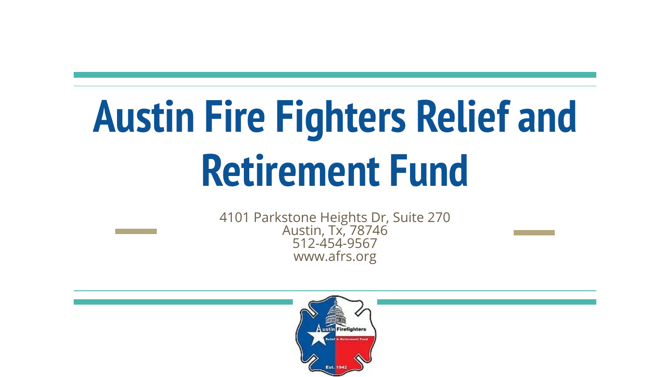# **Austin Fire Fighters Relief and Retirement Fund**

4101 Parkstone Heights Dr, Suite 270 Austin, Tx, 78746 512-454-9567 www.afrs.org

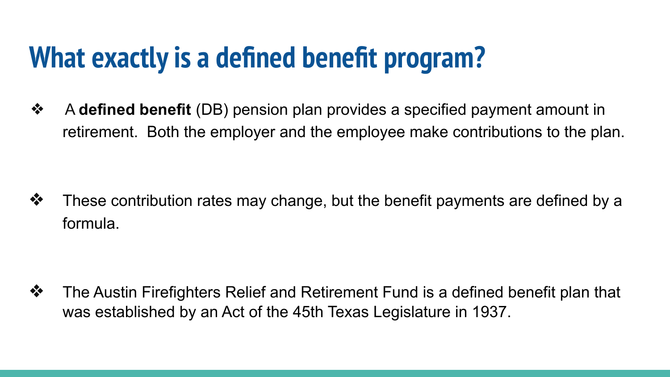# **What exactly is a defined benefit program?**

❖ A **defined benefit** (DB) pension plan provides a specified payment amount in retirement. Both the employer and the employee make contributions to the plan.

❖ These contribution rates may change, but the benefit payments are defined by a formula.

❖ The Austin Firefighters Relief and Retirement Fund is a defined benefit plan that was established by an Act of the 45th Texas Legislature in 1937.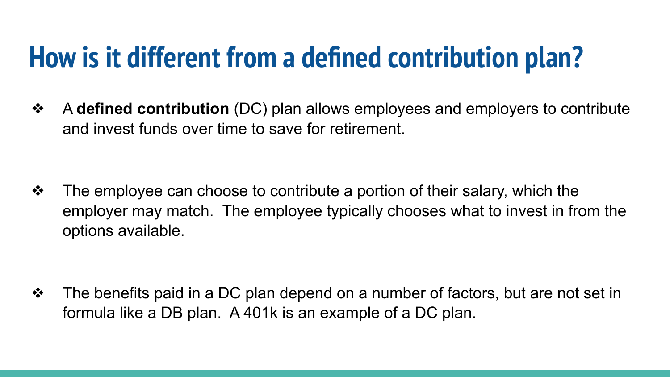# **How is it different from a defined contribution plan?**

❖ A **defined contribution** (DC) plan allows employees and employers to contribute and invest funds over time to save for retirement.

❖ The employee can choose to contribute a portion of their salary, which the employer may match. The employee typically chooses what to invest in from the options available.

❖ The benefits paid in a DC plan depend on a number of factors, but are not set in formula like a DB plan. A 401k is an example of a DC plan.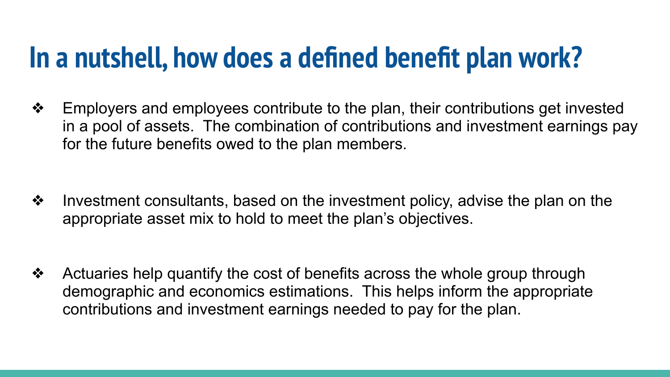#### **In a nutshell, how does a defined benefit plan work?**

❖ Employers and employees contribute to the plan, their contributions get invested in a pool of assets. The combination of contributions and investment earnings pay for the future benefits owed to the plan members.

- ❖ Investment consultants, based on the investment policy, advise the plan on the appropriate asset mix to hold to meet the plan's objectives.
- ❖ Actuaries help quantify the cost of benefits across the whole group through demographic and economics estimations. This helps inform the appropriate contributions and investment earnings needed to pay for the plan.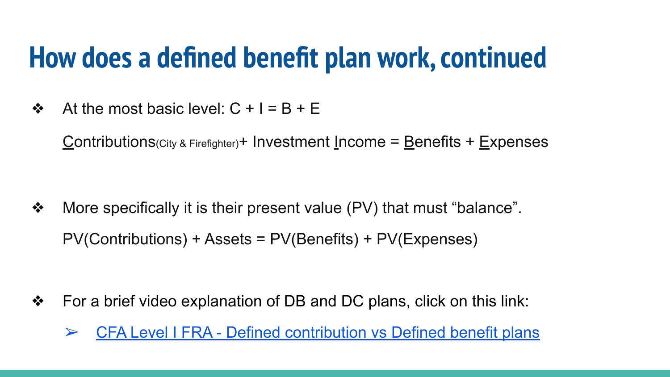#### **How does a defined benefit plan work, continued**

❖ At the most basic level:  $C + I = B + E$ 

Contributions(City & Firefighter)+ Investment Income = Benefits + Expenses

❖ More specifically it is their present value (PV) that must "balance". PV(Contributions) + Assets = PV(Benefits) + PV(Expenses)

- ❖ For a brief video explanation of DB and DC plans, click on this link:
	- $\triangleright$  [CFA Level I FRA Defined contribution vs Defined benefit plans](https://youtu.be/BD1TJBqZzlE)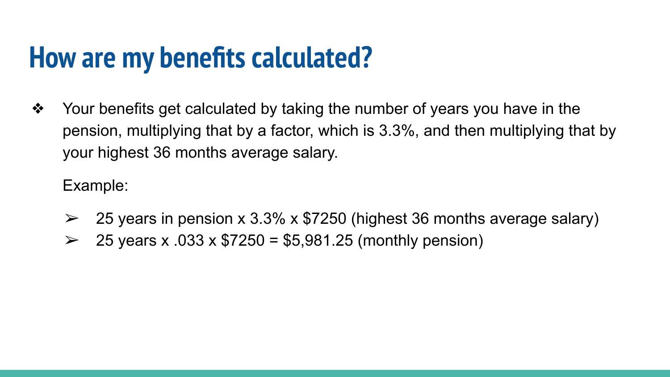#### **How are my benefits calculated?**

❖ Your benefits get calculated by taking the number of years you have in the pension, multiplying that by a factor, which is 3.3%, and then multiplying that by your highest 36 months average salary.

Example:

- $\geq$  25 years in pension x 3.3% x \$7250 (highest 36 months average salary)
- $\geq 25$  years x .033 x \$7250 = \$5,981.25 (monthly pension)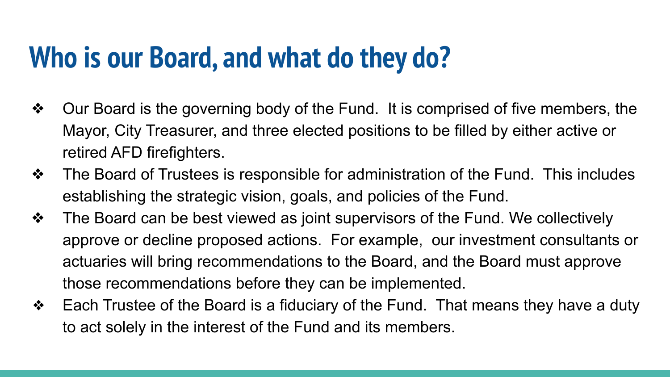#### **Who is our Board, and what do they do?**

- ❖ Our Board is the governing body of the Fund. It is comprised of five members, the Mayor, City Treasurer, and three elected positions to be filled by either active or retired AFD firefighters.
- ❖ The Board of Trustees is responsible for administration of the Fund. This includes establishing the strategic vision, goals, and policies of the Fund.
- ❖ The Board can be best viewed as joint supervisors of the Fund. We collectively approve or decline proposed actions. For example, our investment consultants or actuaries will bring recommendations to the Board, and the Board must approve those recommendations before they can be implemented.
- ❖ Each Trustee of the Board is a fiduciary of the Fund. That means they have a duty to act solely in the interest of the Fund and its members.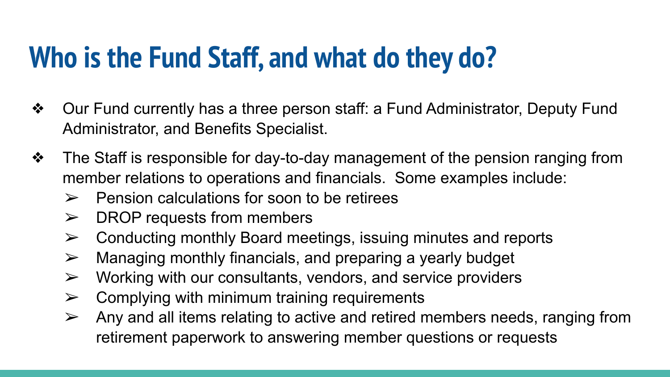# **Who is the Fund Staff, and what do they do?**

- ❖ Our Fund currently has a three person staff: a Fund Administrator, Deputy Fund Administrator, and Benefits Specialist.
- ❖ The Staff is responsible for day-to-day management of the pension ranging from member relations to operations and financials. Some examples include:
	- $\triangleright$  Pension calculations for soon to be retirees
	- $\triangleright$  DROP requests from members
	- $\triangleright$  Conducting monthly Board meetings, issuing minutes and reports
	- $\triangleright$  Managing monthly financials, and preparing a yearly budget
	- $\triangleright$  Working with our consultants, vendors, and service providers
	- $\triangleright$  Complying with minimum training requirements
	- $\triangleright$  Any and all items relating to active and retired members needs, ranging from retirement paperwork to answering member questions or requests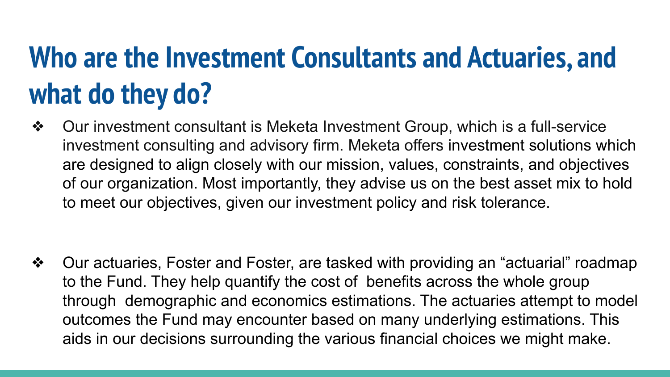# **Who are the Investment Consultants and Actuaries, and what do they do?**

❖ Our investment consultant is Meketa Investment Group, which is a full-service investment consulting and advisory firm. Meketa offers investment solutions which are designed to align closely with our mission, values, constraints, and objectives of our organization. Most importantly, they advise us on the best asset mix to hold to meet our objectives, given our investment policy and risk tolerance.

❖ Our actuaries, Foster and Foster, are tasked with providing an "actuarial" roadmap to the Fund. They help quantify the cost of benefits across the whole group through demographic and economics estimations. The actuaries attempt to model outcomes the Fund may encounter based on many underlying estimations. This aids in our decisions surrounding the various financial choices we might make.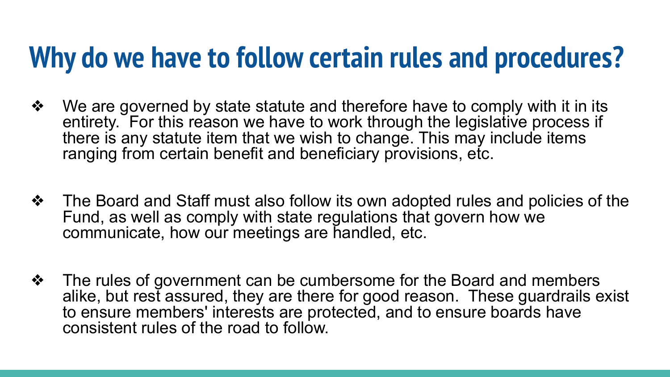#### **Why do we have to follow certain rules and procedures?**

- ❖ We are governed by state statute and therefore have to comply with it in its entirety. For this reason we have to work through the legislative process if there is any statute item that we wish to change. This may include items ranging from certain benefit and beneficiary provisions, etc.
- ❖ The Board and Staff must also follow its own adopted rules and policies of the Fund, as well as comply with state regulations that govern how we communicate, how our meetings are handled, etc.
- ❖ The rules of government can be cumbersome for the Board and members alike, but rest assured, they are there for good reason. These guardrails exist to ensure members' interests are protected, and to ensure boards have consistent rules of the road to follow.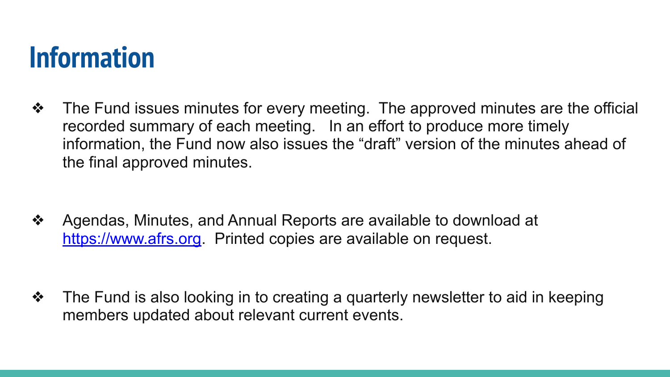#### **Information**

❖ The Fund issues minutes for every meeting. The approved minutes are the official recorded summary of each meeting. In an effort to produce more timely information, the Fund now also issues the "draft" version of the minutes ahead of the final approved minutes.

❖ Agendas, Minutes, and Annual Reports are available to download at <https://www.afrs.org>. Printed copies are available on request.

❖ The Fund is also looking in to creating a quarterly newsletter to aid in keeping members updated about relevant current events.